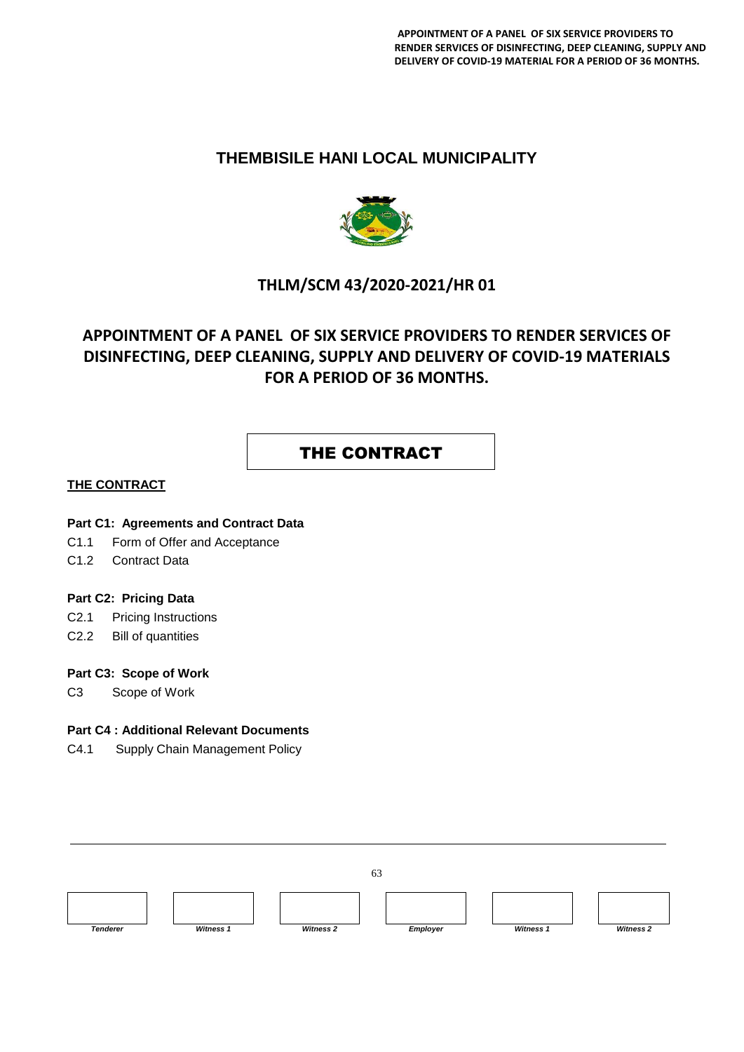### **THEMBISILE HANI LOCAL MUNICIPALITY**



### **THLM/SCM 43/2020-2021/HR 01**

# **APPOINTMENT OF A PANEL OF SIX SERVICE PROVIDERS TO RENDER SERVICES OF DISINFECTING, DEEP CLEANING, SUPPLY AND DELIVERY OF COVID-19 MATERIALS FOR A PERIOD OF 36 MONTHS.**

# THE CONTRACT

#### **THE CONTRACT**

#### **Part C1: Agreements and Contract Data**

- C1.1 Form of Offer and Acceptance
- C1.2 Contract Data

#### **Part C2: Pricing Data**

- C2.1 Pricing Instructions
- C2.2 Bill of quantities

#### **Part C3: Scope of Work**

C3 Scope of Work

#### **Part C4 : Additional Relevant Documents**

C4.1 Supply Chain Management Policy